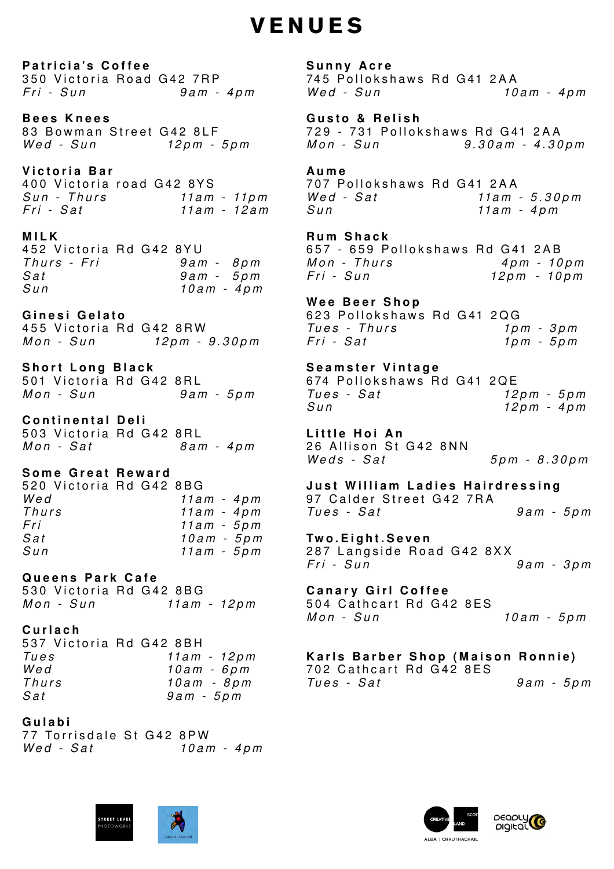# **VENUES**

**Patricia's Coffee** 350 Victoria Road G42 7RP *F r i - S u n 9 a m - 4 p m*

**Bees Knees** 83 Bowman Street G42 8LF *W e d - S u n 12 p m - 5 p m*

**Victoria Bar** 400 Victoria road G42 8YS 707 Pollokshaws Rd G41 2AA *F r i - S a t 11a m - 12 a m*

## **MILK**

452 Victoria Rd G42 8YU *Sun 10 a m - 4 p m*

**Ginesi Gelato**

455 Victoria Rd G42 8RW *Mon - Sun 12pm - 9.30pm*

**Short Long Black**  501 Victoria Rd G42 8RL *M o n - S u n 9 a m - 5 p m*

**Continental Deli** 503 Victoria Rd G42 8RL *M o n - S a t 8 a m - 4 p m*

### **Some Great Reward**

520 Victoria Rd G42 8BG *Wed 11a m - 4 p m Thurs 11a m - 4 p m Fri 11a m - 5 p m Sat 10 a m - 5 p m Sun 11a m - 5 p m*

*Sun - Thurs 11a m - 11p m W e d - S a t 11a m - 5 . 3 0 p m* **Aume** *Sun 11a m - 4 p m*

## **Queens Park Cafe** 530 Victoria Rd G42 8BG *Mon - Sun 11am - 12pm*

*T h u r s - F r i 9 a m - 8 p m Mon - Thurs 4 pm - 10pm Sat 9 a m - 5 p m F r i - S u n 12pm - 10 p m* **Rum Shack** 657 - 659 Pollokshaws Rd G41 2AB

#### **Curlach**

537 Victoria Rd G42 8BH *Tues 11a m - 12 p m*

*Wed 10 a m - 6 p m Thurs 10am - 8 p m Sat 9 a m - 5 p m*

**Gulabi** 77 Torrisdale St G42 8PW *W e d - S a t 10 a m - 4 p m*





**Sunny Acre** 745 Pollokshaws Rd G41 2AA *W e d - S u n 10 a m - 4 p m* 

**G usto & Relish** 729 - 731 Pollokshaws Rd G41 2AA *Mon - Sun 9 .30am - 4.30pm*

**Wee Beer Shop** 623 Pollokshaws Rd G41 2QG *Tu e s - T h u r s 1p m - 3 p m F r i - S a t 1p m - 5 p m*

**Seamster Vintage** 674 Pollokshaws Rd G41 2QE *Tu e s - S a t 12 p m - 5 p m Sun 12 p m - 4 p m*

**Little Hoi An** 26 Allison St G42 8NN *W e d s - S a t 5 p m - 8 . 3 0 p m*

**Just William Ladies Hairdressing** 97 Calder Street G42 7RA *Tu e s - S a t 9 a m - 5 p m*

**Two.Eight.Seven** 287 Langside Road G42 8XX *F r i - S u n 9 a m - 3 p m*

**Canary Girl Coffee** 504 Cathcart Rd G42 8ES *M o n - S u n 10 a m - 5 p m*

| 1 U G J |
|---------|
| Wed     |
|         |
| Thurs   |
| Sat     |

**Karls Barber Shop (Maison Ronnie)** 702 Cathcart Rd G42 8ES *Tu e s - S a t 9 a m - 5 p m*